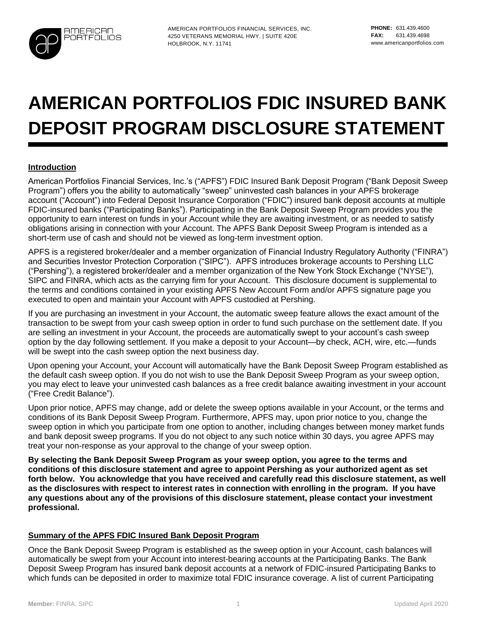

AMERICAN PORTFOLIOS FINANCIAL SERVICES, INC. 4250 VETERANS MEMORIAL HWY. | SUITE 420E HOLBROOK, N.Y. 11741

# **AMERICAN PORTFOLIOS FDIC INSURED BANK DEPOSIT PROGRAM DISCLOSURE STATEMENT**

## **Introduction**

American Portfolios Financial Services, Inc.'s ("APFS") FDIC Insured Bank Deposit Program ("Bank Deposit Sweep Program") offers you the ability to automatically "sweep" uninvested cash balances in your APFS brokerage account ("Account") into Federal Deposit Insurance Corporation ("FDIC") insured bank deposit accounts at multiple FDIC-insured banks ("Participating Banks"). Participating in the Bank Deposit Sweep Program provides you the opportunity to earn interest on funds in your Account while they are awaiting investment, or as needed to satisfy obligations arising in connection with your Account. The APFS Bank Deposit Sweep Program is intended as a short-term use of cash and should not be viewed as long-term investment option.

APFS is a registered broker/dealer and a member organization of Financial Industry Regulatory Authority ("FINRA") and Securities Investor Protection Corporation ("SIPC"). APFS introduces brokerage accounts to Pershing LLC ("Pershing"), a registered broker/dealer and a member organization of the New York Stock Exchange ("NYSE"), SIPC and FINRA, which acts as the carrying firm for your Account. This disclosure document is supplemental to the terms and conditions contained in your existing APFS New Account Form and/or APFS signature page you executed to open and maintain your Account with APFS custodied at Pershing.

If you are purchasing an investment in your Account, the automatic sweep feature allows the exact amount of the transaction to be swept from your cash sweep option in order to fund such purchase on the settlement date. If you are selling an investment in your Account, the proceeds are automatically swept to your account's cash sweep option by the day following settlement. If you make a deposit to your Account—by check, ACH, wire, etc.—funds will be swept into the cash sweep option the next business day.

Upon opening your Account, your Account will automatically have the Bank Deposit Sweep Program established as the default cash sweep option. If you do not wish to use the Bank Deposit Sweep Program as your sweep option, you may elect to leave your uninvested cash balances as a free credit balance awaiting investment in your account ("Free Credit Balance").

Upon prior notice, APFS may change, add or delete the sweep options available in your Account, or the terms and conditions of its Bank Deposit Sweep Program. Furthermore, APFS may, upon prior notice to you, change the sweep option in which you participate from one option to another, including changes between money market funds and bank deposit sweep programs. If you do not object to any such notice within 30 days, you agree APFS may treat your non-response as your approval to the change of your sweep option.

**By selecting the Bank Deposit Sweep Program as your sweep option, you agree to the terms and conditions of this disclosure statement and agree to appoint Pershing as your authorized agent as set forth below. You acknowledge that you have received and carefully read this disclosure statement, as well as the disclosures with respect to interest rates in connection with enrolling in the program. If you have any questions about any of the provisions of this disclosure statement, please contact your investment professional.**

## **Summary of the APFS FDIC Insured Bank Deposit Program**

Once the Bank Deposit Sweep Program is established as the sweep option in your Account, cash balances will automatically be swept from your Account into interest-bearing accounts at the Participating Banks. The Bank Deposit Sweep Program has insured bank deposit accounts at a network of FDIC-insured Participating Banks to which funds can be deposited in order to maximize total FDIC insurance coverage. A list of current Participating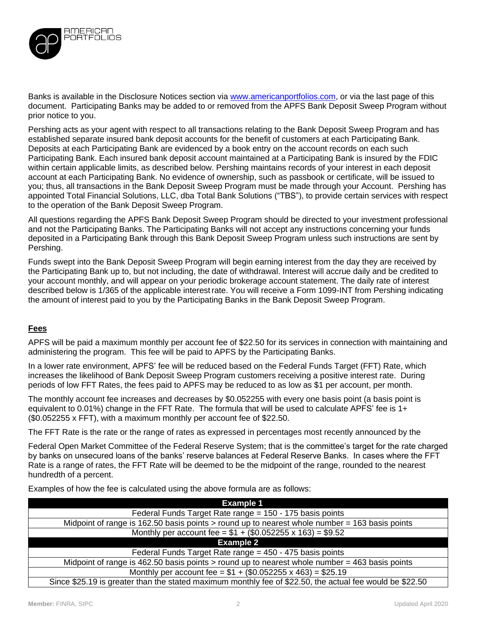

Banks is available in the Disclosure Notices section via [www.americanportfolios.com,](http://www.americanportfolios.com/) or via the last page of this document. Participating Banks may be added to or removed from the APFS Bank Deposit Sweep Program without prior notice to you.

Pershing acts as your agent with respect to all transactions relating to the Bank Deposit Sweep Program and has established separate insured bank deposit accounts for the benefit of customers at each Participating Bank. Deposits at each Participating Bank are evidenced by a book entry on the account records on each such Participating Bank. Each insured bank deposit account maintained at a Participating Bank is insured by the FDIC within certain applicable limits, as described below. Pershing maintains records of your interest in each deposit account at each Participating Bank. No evidence of ownership, such as passbook or certificate, will be issued to you; thus, all transactions in the Bank Deposit Sweep Program must be made through your Account. Pershing has appointed Total Financial Solutions, LLC, dba Total Bank Solutions ("TBS"), to provide certain services with respect to the operation of the Bank Deposit Sweep Program.

All questions regarding the APFS Bank Deposit Sweep Program should be directed to your investment professional and not the Participating Banks. The Participating Banks will not accept any instructions concerning your funds deposited in a Participating Bank through this Bank Deposit Sweep Program unless such instructions are sent by Pershing.

Funds swept into the Bank Deposit Sweep Program will begin earning interest from the day they are received by the Participating Bank up to, but not including, the date of withdrawal. Interest will accrue daily and be credited to your account monthly, and will appear on your periodic brokerage account statement. The daily rate of interest described below is 1/365 of the applicable interestrate. You will receive a Form 1099-INT from Pershing indicating the amount of interest paid to you by the Participating Banks in the Bank Deposit Sweep Program.

## **Fees**

APFS will be paid a maximum monthly per account fee of \$22.50 for its services in connection with maintaining and administering the program. This fee will be paid to APFS by the Participating Banks.

In a lower rate environment, APFS' fee will be reduced based on the Federal Funds Target (FFT) Rate, which increases the likelihood of Bank Deposit Sweep Program customers receiving a positive interest rate. During periods of low FFT Rates, the fees paid to APFS may be reduced to as low as \$1 per account, per month.

The monthly account fee increases and decreases by \$0.052255 with every one basis point (a basis point is equivalent to 0.01%) change in the FFT Rate. The formula that will be used to calculate APFS' fee is 1+ (\$0.052255 x FFT), with a maximum monthly per account fee of \$22.50.

The FFT Rate is the rate or the range of rates as expressed in percentages most recently announced by the

Federal Open Market Committee of the Federal Reserve System; that is the committee's target for the rate charged by banks on unsecured loans of the banks' reserve balances at Federal Reserve Banks. In cases where the FFT Rate is a range of rates, the FFT Rate will be deemed to be the midpoint of the range, rounded to the nearest hundredth of a percent.

Examples of how the fee is calculated using the above formula are as follows:

| <b>Example 1</b>                                                                                         |  |  |
|----------------------------------------------------------------------------------------------------------|--|--|
| Federal Funds Target Rate range = 150 - 175 basis points                                                 |  |  |
| Midpoint of range is 162.50 basis points $>$ round up to nearest whole number = 163 basis points         |  |  |
| Monthly per account fee = $$1 + ($0.052255 \times 163) = $9.52$                                          |  |  |
| <b>Example 2</b>                                                                                         |  |  |
| Federal Funds Target Rate range = 450 - 475 basis points                                                 |  |  |
| Midpoint of range is 462.50 basis points $>$ round up to nearest whole number = 463 basis points         |  |  |
| Monthly per account fee = $$1 + ($0.052255 \times 463) = $25.19$                                         |  |  |
| Since \$25.19 is greater than the stated maximum monthly fee of \$22.50, the actual fee would be \$22.50 |  |  |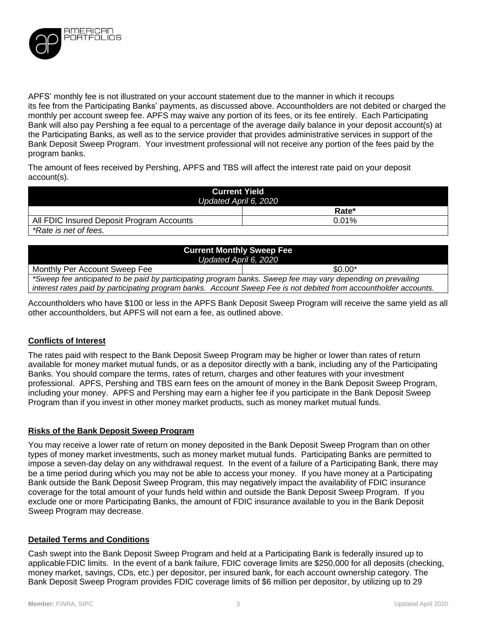

APFS' monthly fee is not illustrated on your account statement due to the manner in which it recoups its fee from the Participating Banks' payments, as discussed above. Accountholders are not debited or charged the monthly per account sweep fee. APFS may waive any portion of its fees, or its fee entirely. Each Participating Bank will also pay Pershing a fee equal to a percentage of the average daily balance in your deposit account(s) at the Participating Banks, as well as to the service provider that provides administrative services in support of the Bank Deposit Sweep Program. Your investment professional will not receive any portion of the fees paid by the program banks.

The amount of fees received by Pershing, APFS and TBS will affect the interest rate paid on your deposit account(s).

| <b>Current Yield</b><br>Updated April 6, 2020 |          |  |
|-----------------------------------------------|----------|--|
|                                               | Rate*    |  |
| All FDIC Insured Deposit Program Accounts     | $0.01\%$ |  |
| *Rate is net of fees.                         |          |  |

| <b>Current Monthly Sweep Fee</b><br>Updated April 6, 2020                                                         |          |  |
|-------------------------------------------------------------------------------------------------------------------|----------|--|
| Monthly Per Account Sweep Fee                                                                                     | $$0.00*$ |  |
| *Sweep fee anticipated to be paid by participating program banks. Sweep fee may vary depending on prevailing      |          |  |
| interest rates paid by participating program banks. Account Sweep Fee is not debited from accountholder accounts. |          |  |

Accountholders who have \$100 or less in the APFS Bank Deposit Sweep Program will receive the same yield as all other accountholders, but APFS will not earn a fee, as outlined above.

## **Conflicts of Interest**

The rates paid with respect to the Bank Deposit Sweep Program may be higher or lower than rates of return available for money market mutual funds, or as a depositor directly with a bank, including any of the Participating Banks. You should compare the terms, rates of return, charges and other features with your investment professional. APFS, Pershing and TBS earn fees on the amount of money in the Bank Deposit Sweep Program, including your money. APFS and Pershing may earn a higher fee if you participate in the Bank Deposit Sweep Program than if you invest in other money market products, such as money market mutual funds.

## **Risks of the Bank Deposit Sweep Program**

You may receive a lower rate of return on money deposited in the Bank Deposit Sweep Program than on other types of money market investments, such as money market mutual funds. Participating Banks are permitted to impose a seven-day delay on any withdrawal request. In the event of a failure of a Participating Bank, there may be a time period during which you may not be able to access your money. If you have money at a Participating Bank outside the Bank Deposit Sweep Program, this may negatively impact the availability of FDIC insurance coverage for the total amount of your funds held within and outside the Bank Deposit Sweep Program. If you exclude one or more Participating Banks, the amount of FDIC insurance available to you in the Bank Deposit Sweep Program may decrease.

#### **Detailed Terms and Conditions**

Cash swept into the Bank Deposit Sweep Program and held at a Participating Bank is federally insured up to applicableFDIC limits. In the event of a bank failure, FDIC coverage limits are \$250,000 for all deposits (checking, money market, savings, CDs, etc.) per depositor, per insured bank, for each account ownership category. The Bank Deposit Sweep Program provides FDIC coverage limits of \$6 million per depositor, by utilizing up to 29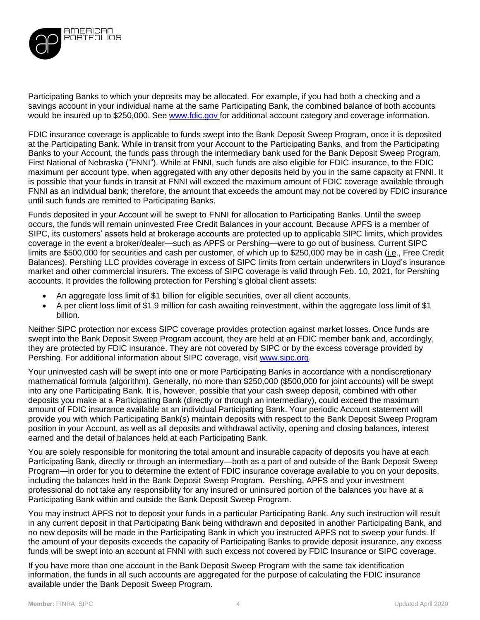

Participating Banks to which your deposits may be allocated. For example, if you had both a checking and a savings account in your individual name at the same Participating Bank, the combined balance of both accounts would be insured up to \$250,000. See www.fdic.gov for additional account category and coverage information.

FDIC insurance coverage is applicable to funds swept into the Bank Deposit Sweep Program, once it is deposited at the Participating Bank. While in transit from your Account to the Participating Banks, and from the Participating Banks to your Account, the funds pass through the intermediary bank used for the Bank Deposit Sweep Program, First National of Nebraska ("FNNI"). While at FNNI, such funds are also eligible for FDIC insurance, to the FDIC maximum per account type, when aggregated with any other deposits held by you in the same capacity at FNNI. It is possible that your funds in transit at FNNI will exceed the maximum amount of FDIC coverage available through FNNI as an individual bank; therefore, the amount that exceeds the amount may not be covered by FDIC insurance until such funds are remitted to Participating Banks.

Funds deposited in your Account will be swept to FNNI for allocation to Participating Banks. Until the sweep occurs, the funds will remain uninvested Free Credit Balances in your account. Because APFS is a member of SIPC, its customers' assets held at brokerage accounts are protected up to applicable SIPC limits, which provides coverage in the event a broker/dealer—such as APFS or Pershing—were to go out of business. Current SIPC limits are \$500,000 for securities and cash per customer, of which up to \$250,000 may be in cash (*i.e.*, Free Credit Balances). Pershing LLC provides coverage in excess of SIPC limits from certain underwriters in Lloyd's insurance market and other commercial insurers. The excess of SIPC coverage is valid through Feb. 10, 2021, for Pershing accounts. It provides the following protection for Pershing's global client assets:

- An aggregate loss limit of \$1 billion for eligible securities, over all client accounts.
- A per client loss limit of \$1.9 million for cash awaiting reinvestment, within the aggregate loss limit of \$1 billion.

Neither SIPC protection nor excess SIPC coverage provides protection against market losses. Once funds are swept into the Bank Deposit Sweep Program account, they are held at an FDIC member bank and, accordingly, they are protected by FDIC insurance. They are not covered by SIPC or by the excess coverage provided by Pershing. For additional information about SIPC coverage, visit [www.sipc.org.](http://www.sipc.org/)

Your uninvested cash will be swept into one or more Participating Banks in accordance with a nondiscretionary mathematical formula (algorithm). Generally, no more than \$250,000 (\$500,000 for joint accounts) will be swept into any one Participating Bank. It is, however, possible that your cash sweep deposit, combined with other deposits you make at a Participating Bank (directly or through an intermediary), could exceed the maximum amount of FDIC insurance available at an individual Participating Bank. Your periodic Account statement will provide you with which Participating Bank(s) maintain deposits with respect to the Bank Deposit Sweep Program position in your Account, as well as all deposits and withdrawal activity, opening and closing balances, interest earned and the detail of balances held at each Participating Bank.

You are solely responsible for monitoring the total amount and insurable capacity of deposits you have at each Participating Bank, directly or through an intermediary—both as a part of and outside of the Bank Deposit Sweep Program—in order for you to determine the extent of FDIC insurance coverage available to you on your deposits, including the balances held in the Bank Deposit Sweep Program. Pershing, APFS and your investment professional do not take any responsibility for any insured or uninsured portion of the balances you have at a Participating Bank within and outside the Bank Deposit Sweep Program.

You may instruct APFS not to deposit your funds in a particular Participating Bank. Any such instruction will result in any current deposit in that Participating Bank being withdrawn and deposited in another Participating Bank, and no new deposits will be made in the Participating Bank in which you instructed APFS not to sweep your funds. If the amount of your deposits exceeds the capacity of Participating Banks to provide deposit insurance, any excess funds will be swept into an account at FNNI with such excess not covered by FDIC Insurance or SIPC coverage.

If you have more than one account in the Bank Deposit Sweep Program with the same tax identification information, the funds in all such accounts are aggregated for the purpose of calculating the FDIC insurance available under the Bank Deposit Sweep Program.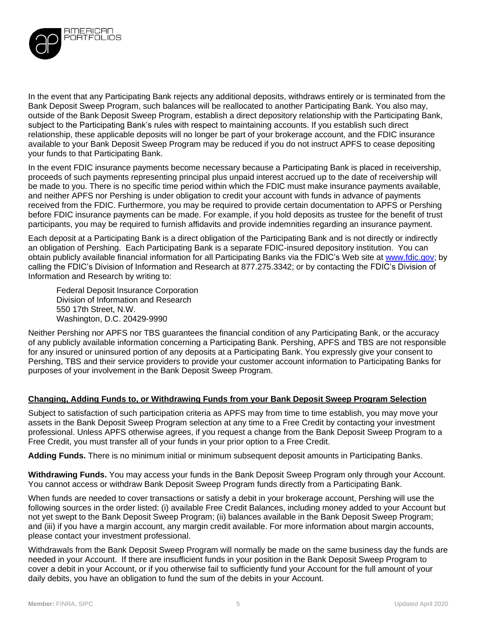

In the event that any Participating Bank rejects any additional deposits, withdraws entirely or is terminated from the Bank Deposit Sweep Program, such balances will be reallocated to another Participating Bank. You also may, outside of the Bank Deposit Sweep Program, establish a direct depository relationship with the Participating Bank, subject to the Participating Bank's rules with respect to maintaining accounts. If you establish such direct relationship, these applicable deposits will no longer be part of your brokerage account, and the FDIC insurance available to your Bank Deposit Sweep Program may be reduced if you do not instruct APFS to cease depositing your funds to that Participating Bank.

In the event FDIC insurance payments become necessary because a Participating Bank is placed in receivership, proceeds of such payments representing principal plus unpaid interest accrued up to the date of receivership will be made to you. There is no specific time period within which the FDIC must make insurance payments available, and neither APFS nor Pershing is under obligation to credit your account with funds in advance of payments received from the FDIC. Furthermore, you may be required to provide certain documentation to APFS or Pershing before FDIC insurance payments can be made. For example, if you hold deposits as trustee for the benefit of trust participants, you may be required to furnish affidavits and provide indemnities regarding an insurance payment.

Each deposit at a Participating Bank is a direct obligation of the Participating Bank and is not directly or indirectly an obligation of Pershing. Each Participating Bank is a separate FDIC-insured depository institution. You can obtain publicly available financial information for all Participating Banks via the FDIC's Web site at [www.fdic.gov;](http://www.fdic.gov/) by calling the FDIC's Division of Information and Research at 877.275.3342; or by contacting the FDIC's Division of Information and Research by writing to:

Federal Deposit Insurance Corporation Division of Information and Research 550 17th Street, N.W. Washington, D.C. 20429-9990

Neither Pershing nor APFS nor TBS guarantees the financial condition of any Participating Bank, or the accuracy of any publicly available information concerning a Participating Bank. Pershing, APFS and TBS are not responsible for any insured or uninsured portion of any deposits at a Participating Bank. You expressly give your consent to Pershing, TBS and their service providers to provide your customer account information to Participating Banks for purposes of your involvement in the Bank Deposit Sweep Program.

## **Changing, Adding Funds to, or Withdrawing Funds from your Bank Deposit Sweep Program Selection**

Subject to satisfaction of such participation criteria as APFS may from time to time establish, you may move your assets in the Bank Deposit Sweep Program selection at any time to a Free Credit by contacting your investment professional. Unless APFS otherwise agrees, if you request a change from the Bank Deposit Sweep Program to a Free Credit, you must transfer all of your funds in your prior option to a Free Credit.

**Adding Funds.** There is no minimum initial or minimum subsequent deposit amounts in Participating Banks.

**Withdrawing Funds.** You may access your funds in the Bank Deposit Sweep Program only through your Account. You cannot access or withdraw Bank Deposit Sweep Program funds directly from a Participating Bank.

When funds are needed to cover transactions or satisfy a debit in your brokerage account, Pershing will use the following sources in the order listed: (i) available Free Credit Balances, including money added to your Account but not yet swept to the Bank Deposit Sweep Program; (ii) balances available in the Bank Deposit Sweep Program; and (iii) if you have a margin account, any margin credit available. For more information about margin accounts, please contact your investment professional.

Withdrawals from the Bank Deposit Sweep Program will normally be made on the same business day the funds are needed in your Account. If there are insufficient funds in your position in the Bank Deposit Sweep Program to cover a debit in your Account, or if you otherwise fail to sufficiently fund your Account for the full amount of your daily debits, you have an obligation to fund the sum of the debits in your Account.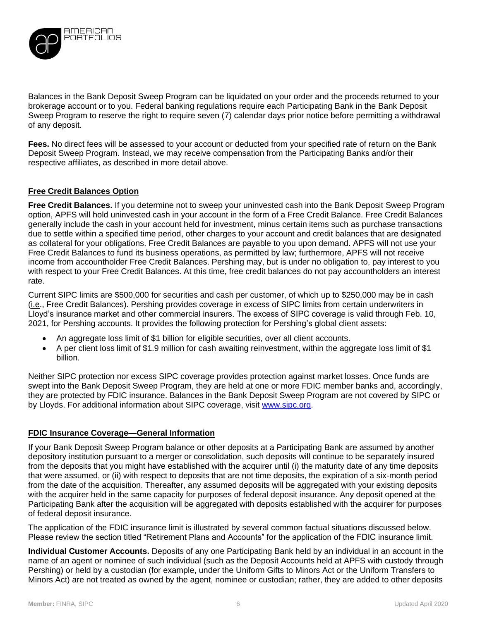

Balances in the Bank Deposit Sweep Program can be liquidated on your order and the proceeds returned to your brokerage account or to you. Federal banking regulations require each Participating Bank in the Bank Deposit Sweep Program to reserve the right to require seven (7) calendar days prior notice before permitting a withdrawal of any deposit.

**Fees.** No direct fees will be assessed to your account or deducted from your specified rate of return on the Bank Deposit Sweep Program. Instead, we may receive compensation from the Participating Banks and/or their respective affiliates, as described in more detail above.

## **Free Credit Balances Option**

**Free Credit Balances.** If you determine not to sweep your uninvested cash into the Bank Deposit Sweep Program option, APFS will hold uninvested cash in your account in the form of a Free Credit Balance. Free Credit Balances generally include the cash in your account held for investment, minus certain items such as purchase transactions due to settle within a specified time period, other charges to your account and credit balances that are designated as collateral for your obligations. Free Credit Balances are payable to you upon demand. APFS will not use your Free Credit Balances to fund its business operations, as permitted by law; furthermore, APFS will not receive income from accountholder Free Credit Balances. Pershing may, but is under no obligation to, pay interest to you with respect to your Free Credit Balances. At this time, free credit balances do not pay accountholders an interest rate.

Current SIPC limits are \$500,000 for securities and cash per customer, of which up to \$250,000 may be in cash (i.e., Free Credit Balances). Pershing provides coverage in excess of SIPC limits from certain underwriters in Lloyd's insurance market and other commercial insurers. The excess of SIPC coverage is valid through Feb. 10, 2021, for Pershing accounts. It provides the following protection for Pershing's global client assets:

- An aggregate loss limit of \$1 billion for eligible securities, over all client accounts.
- A per client loss limit of \$1.9 million for cash awaiting reinvestment, within the aggregate loss limit of \$1 billion.

Neither SIPC protection nor excess SIPC coverage provides protection against market losses. Once funds are swept into the Bank Deposit Sweep Program, they are held at one or more FDIC member banks and, accordingly, they are protected by FDIC insurance. Balances in the Bank Deposit Sweep Program are not covered by SIPC or by Lloyds. For additional information about SIPC coverage, visit [www.sipc.org.](http://www.sipc.org/)

## **FDIC Insurance Coverage—General Information**

If your Bank Deposit Sweep Program balance or other deposits at a Participating Bank are assumed by another depository institution pursuant to a merger or consolidation, such deposits will continue to be separately insured from the deposits that you might have established with the acquirer until (i) the maturity date of any time deposits that were assumed, or (ii) with respect to deposits that are not time deposits, the expiration of a six-month period from the date of the acquisition. Thereafter, any assumed deposits will be aggregated with your existing deposits with the acquirer held in the same capacity for purposes of federal deposit insurance. Any deposit opened at the Participating Bank after the acquisition will be aggregated with deposits established with the acquirer for purposes of federal deposit insurance.

The application of the FDIC insurance limit is illustrated by several common factual situations discussed below. Please review the section titled "Retirement Plans and Accounts" for the application of the FDIC insurance limit.

**Individual Customer Accounts.** Deposits of any one Participating Bank held by an individual in an account in the name of an agent or nominee of such individual (such as the Deposit Accounts held at APFS with custody through Pershing) or held by a custodian (for example, under the Uniform Gifts to Minors Act or the Uniform Transfers to Minors Act) are not treated as owned by the agent, nominee or custodian; rather, they are added to other deposits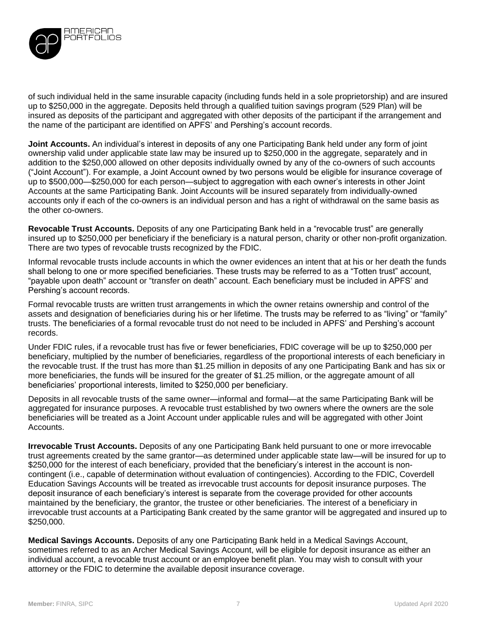

of such individual held in the same insurable capacity (including funds held in a sole proprietorship) and are insured up to \$250,000 in the aggregate. Deposits held through a qualified tuition savings program (529 Plan) will be insured as deposits of the participant and aggregated with other deposits of the participant if the arrangement and the name of the participant are identified on APFS' and Pershing's account records.

**Joint Accounts.** An individual's interest in deposits of any one Participating Bank held under any form of joint ownership valid under applicable state law may be insured up to \$250,000 in the aggregate, separately and in addition to the \$250,000 allowed on other deposits individually owned by any of the co-owners of such accounts ("Joint Account"). For example, a Joint Account owned by two persons would be eligible for insurance coverage of up to \$500,000—\$250,000 for each person—subject to aggregation with each owner's interests in other Joint Accounts at the same Participating Bank. Joint Accounts will be insured separately from individually-owned accounts only if each of the co-owners is an individual person and has a right of withdrawal on the same basis as the other co-owners.

**Revocable Trust Accounts.** Deposits of any one Participating Bank held in a "revocable trust" are generally insured up to \$250,000 per beneficiary if the beneficiary is a natural person, charity or other non-profit organization. There are two types of revocable trusts recognized by the FDIC.

Informal revocable trusts include accounts in which the owner evidences an intent that at his or her death the funds shall belong to one or more specified beneficiaries. These trusts may be referred to as a "Totten trust" account, "payable upon death" account or "transfer on death" account. Each beneficiary must be included in APFS' and Pershing's account records.

Formal revocable trusts are written trust arrangements in which the owner retains ownership and control of the assets and designation of beneficiaries during his or her lifetime. The trusts may be referred to as "living" or "family" trusts. The beneficiaries of a formal revocable trust do not need to be included in APFS' and Pershing's account records.

Under FDIC rules, if a revocable trust has five or fewer beneficiaries, FDIC coverage will be up to \$250,000 per beneficiary, multiplied by the number of beneficiaries, regardless of the proportional interests of each beneficiary in the revocable trust. If the trust has more than \$1.25 million in deposits of any one Participating Bank and has six or more beneficiaries, the funds will be insured for the greater of \$1.25 million, or the aggregate amount of all beneficiaries' proportional interests, limited to \$250,000 per beneficiary.

Deposits in all revocable trusts of the same owner—informal and formal—at the same Participating Bank will be aggregated for insurance purposes. A revocable trust established by two owners where the owners are the sole beneficiaries will be treated as a Joint Account under applicable rules and will be aggregated with other Joint Accounts.

**Irrevocable Trust Accounts.** Deposits of any one Participating Bank held pursuant to one or more irrevocable trust agreements created by the same grantor—as determined under applicable state law—will be insured for up to \$250,000 for the interest of each beneficiary, provided that the beneficiary's interest in the account is noncontingent (i.e., capable of determination without evaluation of contingencies). According to the FDIC, Coverdell Education Savings Accounts will be treated as irrevocable trust accounts for deposit insurance purposes. The deposit insurance of each beneficiary's interest is separate from the coverage provided for other accounts maintained by the beneficiary, the grantor, the trustee or other beneficiaries. The interest of a beneficiary in irrevocable trust accounts at a Participating Bank created by the same grantor will be aggregated and insured up to \$250,000.

**Medical Savings Accounts.** Deposits of any one Participating Bank held in a Medical Savings Account, sometimes referred to as an Archer Medical Savings Account, will be eligible for deposit insurance as either an individual account, a revocable trust account or an employee benefit plan. You may wish to consult with your attorney or the FDIC to determine the available deposit insurance coverage.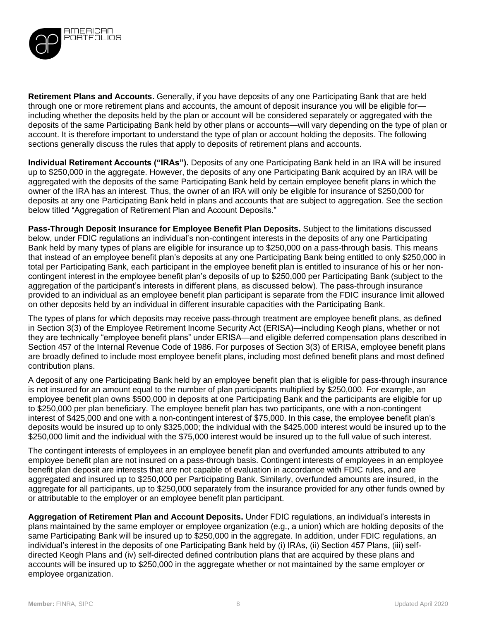

**Retirement Plans and Accounts.** Generally, if you have deposits of any one Participating Bank that are held through one or more retirement plans and accounts, the amount of deposit insurance you will be eligible for including whether the deposits held by the plan or account will be considered separately or aggregated with the deposits of the same Participating Bank held by other plans or accounts—will vary depending on the type of plan or account. It is therefore important to understand the type of plan or account holding the deposits. The following sections generally discuss the rules that apply to deposits of retirement plans and accounts.

**Individual Retirement Accounts ("IRAs").** Deposits of any one Participating Bank held in an IRA will be insured up to \$250,000 in the aggregate. However, the deposits of any one Participating Bank acquired by an IRA will be aggregated with the deposits of the same Participating Bank held by certain employee benefit plans in which the owner of the IRA has an interest. Thus, the owner of an IRA will only be eligible for insurance of \$250,000 for deposits at any one Participating Bank held in plans and accounts that are subject to aggregation. See the section below titled "Aggregation of Retirement Plan and Account Deposits."

**Pass-Through Deposit Insurance for Employee Benefit Plan Deposits.** Subject to the limitations discussed below, under FDIC regulations an individual's non-contingent interests in the deposits of any one Participating Bank held by many types of plans are eligible for insurance up to \$250,000 on a pass-through basis. This means that instead of an employee benefit plan's deposits at any one Participating Bank being entitled to only \$250,000 in total per Participating Bank, each participant in the employee benefit plan is entitled to insurance of his or her noncontingent interest in the employee benefit plan's deposits of up to \$250,000 per Participating Bank (subject to the aggregation of the participant's interests in different plans, as discussed below). The pass-through insurance provided to an individual as an employee benefit plan participant is separate from the FDIC insurance limit allowed on other deposits held by an individual in different insurable capacities with the Participating Bank.

The types of plans for which deposits may receive pass-through treatment are employee benefit plans, as defined in Section 3(3) of the Employee Retirement Income Security Act (ERISA)—including Keogh plans, whether or not they are technically "employee benefit plans" under ERISA—and eligible deferred compensation plans described in Section 457 of the Internal Revenue Code of 1986. For purposes of Section 3(3) of ERISA, employee benefit plans are broadly defined to include most employee benefit plans, including most defined benefit plans and most defined contribution plans.

A deposit of any one Participating Bank held by an employee benefit plan that is eligible for pass-through insurance is not insured for an amount equal to the number of plan participants multiplied by \$250,000. For example, an employee benefit plan owns \$500,000 in deposits at one Participating Bank and the participants are eligible for up to \$250,000 per plan beneficiary. The employee benefit plan has two participants, one with a non-contingent interest of \$425,000 and one with a non-contingent interest of \$75,000. In this case, the employee benefit plan's deposits would be insured up to only \$325,000; the individual with the \$425,000 interest would be insured up to the \$250,000 limit and the individual with the \$75,000 interest would be insured up to the full value of such interest.

The contingent interests of employees in an employee benefit plan and overfunded amounts attributed to any employee benefit plan are not insured on a pass-through basis. Contingent interests of employees in an employee benefit plan deposit are interests that are not capable of evaluation in accordance with FDIC rules, and are aggregated and insured up to \$250,000 per Participating Bank. Similarly, overfunded amounts are insured, in the aggregate for all participants, up to \$250,000 separately from the insurance provided for any other funds owned by or attributable to the employer or an employee benefit plan participant.

**Aggregation of Retirement Plan and Account Deposits.** Under FDIC regulations, an individual's interests in plans maintained by the same employer or employee organization (e.g., a union) which are holding deposits of the same Participating Bank will be insured up to \$250,000 in the aggregate. In addition, under FDIC regulations, an individual's interest in the deposits of one Participating Bank held by (i) IRAs, (ii) Section 457 Plans, (iii) selfdirected Keogh Plans and (iv) self-directed defined contribution plans that are acquired by these plans and accounts will be insured up to \$250,000 in the aggregate whether or not maintained by the same employer or employee organization.